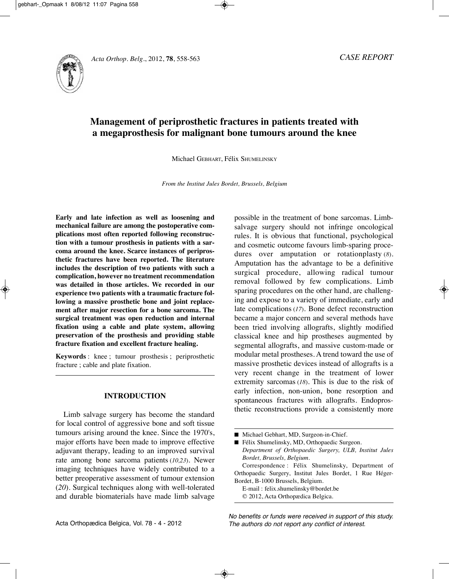

# **Management of periprosthetic fractures in patients treated with a megaprosthesis for malignant bone tumours around the knee**

Michael GEBHARt, Félix SHuMElInSky

*From the Institut Jules Bordet, Brussels, Belgium*

**Early and late infection as well as loosening and mechanical failure are among the postoperative complications most often reported following reconstruction with a tumour prosthesis in patients with a sarcoma around the knee. Scarce instances of periprosthetic fractures have been reported. The literature includes the description of two patients with such a complication, however no treatment recommendation was detailed in those articles. We recorded in our experience two patients with a traumatic fracture following a massive prosthetic bone and joint replacement after major resection for a bone sarcoma. The surgical treatment was open reduction and internal fixation using a cable and plate system, allowing preservation of the prosthesis and providing stable fracture fixation and excellent fracture healing.**

**Keywords** : knee ; tumour prosthesis ; periprosthetic fracture ; cable and plate fixation.

## **INTRODUCTION**

Limb salvage surgery has become the standard for local control of aggressive bone and soft tissue tumours arising around the knee. Since the 1970's, major efforts have been made to improve effective adjuvant therapy, leading to an improved survival rate among bone sarcoma patients (10,23). Newer imaging techniques have widely contributed to a better preoperative assessment of tumour extension (*20*). Surgical techniques along with well-tolerated and durable biomaterials have made limb salvage possible in the treatment of bone sarcomas. limbsalvage surgery should not infringe oncological rules. It is obvious that functional, psychological and cosmetic outcome favours limb-sparing procedures over amputation or rotationplasty (*8*). Amputation has the advantage to be a definitive surgical procedure, allowing radical tumour removal followed by few complications. limb sparing procedures on the other hand, are challenging and expose to a variety of immediate, early and late complications (*17*). Bone defect reconstruction became a major concern and several methods have been tried involving allografts, slightly modified classical knee and hip prostheses augmented by segmental allografts, and massive custom-made or modular metal prostheses. A trend toward the use of massive prosthetic devices instead of allografts is a very recent change in the treatment of lower extremity sarcomas (18). This is due to the risk of early infection, non-union, bone resorption and spontaneous fractures with allografts. Endoprosthetic reconstructions provide a consistently more

|  |  |  |  |  | Michael Gebhart, MD, Surgeon-in-Chief. |
|--|--|--|--|--|----------------------------------------|
|--|--|--|--|--|----------------------------------------|

■ Félix Shumelinsky, MD, Orthopaedic Surgeon. *Department of Orthopaedic Surgery, ULB, Institut Jules Bordet, Brussels, Belgium.* Correspondence : Félix Shumelinsky, Department of Orthopaedic Surgery, Institut Jules Bordet, 1 Rue Héger-Bordet, B-1000 Brussels, Belgium. E-mail : felix.shumelinsky@bordet.be © 2012, Acta Orthopædica Belgica.

No benefits or funds were received in support of this study. The authors do not report any conflict of interest.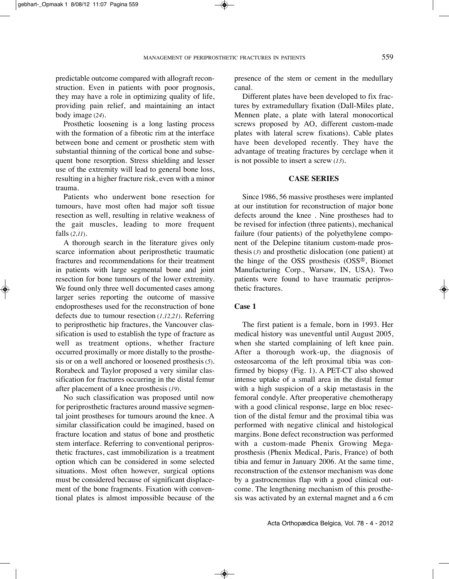predictable outcome compared with allograft reconstruction. Even in patients with poor prognosis, they may have a role in optimizing quality of life, providing pain relief, and maintaining an intact body image (*24*).

Prosthetic loosening is a long lasting process with the formation of a fibrotic rim at the interface between bone and cement or prosthetic stem with substantial thinning of the cortical bone and subsequent bone resorption. Stress shielding and lesser use of the extremity will lead to general bone loss, resulting in a higher fracture risk, even with a minor trauma.

Patients who underwent bone resection for tumours, have most often had major soft tissue resection as well, resulting in relative weakness of the gait muscles, leading to more frequent falls (*2,11*).

A thorough search in the literature gives only scarce information about periprosthetic traumatic fractures and recommendations for their treatment in patients with large segmental bone and joint resection for bone tumours of the lower extremity. We found only three well documented cases among larger series reporting the outcome of massive endoprostheses used for the reconstruction of bone defects due to tumour resection (*1,12,21*). Referring to periprosthetic hip fractures, the Vancouver classification is used to establish the type of fracture as well as treatment options, whether fracture occurred proximally or more distally to the prosthesis or on a well anchored or loosened prosthesis (*5*). Rorabeck and Taylor proposed a very similar classification for fractures occurring in the distal femur after placement of a knee prosthesis (*19*).

No such classification was proposed until now for periprosthetic fractures around massive segmental joint prostheses for tumours around the knee. A similar classification could be imagined, based on fracture location and status of bone and prosthetic stem interface. Referring to conventional periprosthetic fractures, cast immobilization is a treatment option which can be considered in some selected situations. Most often however, surgical options must be considered because of significant displacement of the bone fragments. Fixation with conventional plates is almost impossible because of the

presence of the stem or cement in the medullary canal.

Different plates have been developed to fix fractures by extramedullary fixation (Dall-Miles plate, Mennen plate, a plate with lateral monocortical screws proposed by AO, different custom-made plates with lateral screw fixations). Cable plates have been developed recently. They have the advantage of treating fractures by cerclage when it is not possible to insert a screw (*13*).

### **CASE SERIES**

Since 1986, 56 massive prostheses were implanted at our institution for reconstruction of major bone defects around the knee. Nine prostheses had to be revised for infection (three patients), mechanical failure (four patients) of the polyethylene component of the Delepine titanium custom-made prosthesis (*3*) and prosthetic dislocation (one patient) at the hinge of the OSS prosthesis (OSS®, Biomet Manufacturing Corp., Warsaw, IN, USA). Two patients were found to have traumatic periprosthetic fractures.

### **Case 1**

The first patient is a female, born in 1993. Her medical history was uneventful until August 2005, when she started complaining of left knee pain. After a thorough work-up, the diagnosis of osteosarcoma of the left proximal tibia was confirmed by biopsy (Fig. 1). A PET-CT also showed intense uptake of a small area in the distal femur with a high suspicion of a skip metastasis in the femoral condyle. After preoperative chemotherapy with a good clinical response, large en bloc resection of the distal femur and the proximal tibia was performed with negative clinical and histological margins. Bone defect reconstruction was performed with a custom-made Phenix Growing Megaprosthesis (Phenix Medical, Paris, France) of both tibia and femur in January 2006. At the same time, reconstruction of the extensor mechanism was done by a gastrocnemius flap with a good clinical outcome. The lengthening mechanism of this prosthesis was activated by an external magnet and a 6 cm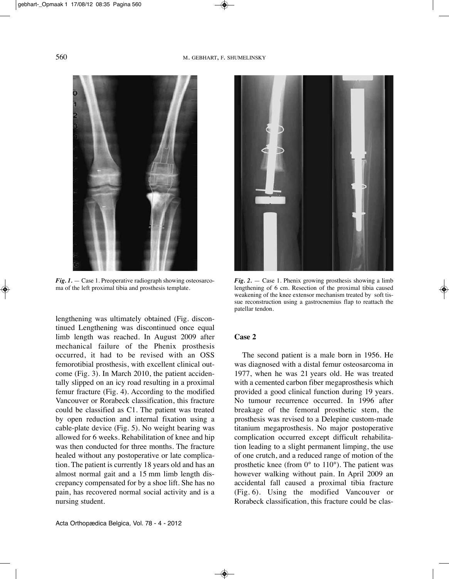

*Fig. 1.* — Case 1. Preoperative radiograph showing osteosarcoma of the left proximal tibia and prosthesis template.

lengthening was ultimately obtained (Fig. discontinued Lengthening was discontinued once equal limb length was reached. In August 2009 after mechanical failure of the Phenix prosthesis occurred, it had to be revised with an OSS femorotibial prosthesis, with excellent clinical outcome (Fig. 3). In March 2010, the patient accidentally slipped on an icy road resulting in a proximal femur fracture (Fig. 4). According to the modified Vancouver or Rorabeck classification, this fracture could be classified as C1. The patient was treated by open reduction and internal fixation using a cable-plate device (Fig. 5). No weight bearing was allowed for 6 weeks. Rehabilitation of knee and hip was then conducted for three months. The fracture healed without any postoperative or late complication. The patient is currently 18 years old and has an almost normal gait and a 15 mm limb length discrepancy compensated for by a shoe lift. She has no pain, has recovered normal social activity and is a nursing student.





*Fig. 2.* — Case 1. Phenix growing prosthesis showing a limb lengthening of 6 cm. Resection of the proximal tibia caused weakening of the knee extensor mechanism treated by soft tissue reconstruction using a gastrocnemius flap to reattach the patellar tendon.

### **Case 2**

The second patient is a male born in 1956. He was diagnosed with a distal femur osteosarcoma in 1977, when he was 21 years old. He was treated with a cemented carbon fiber megaprosthesis which provided a good clinical function during 19 years. No tumour recurrence occurred. In 1996 after breakage of the femoral prosthetic stem, the prosthesis was revised to a Delepine custom-made titanium megaprosthesis. No major postoperative complication occurred except difficult rehabilitation leading to a slight permanent limping, the use of one crutch, and a reduced range of motion of the prosthetic knee (from 0° to 110°). The patient was however walking without pain. In April 2009 an accidental fall caused a proximal tibia fracture (Fig. 6). Using the modified Vancouver or Rorabeck classification, this fracture could be clas-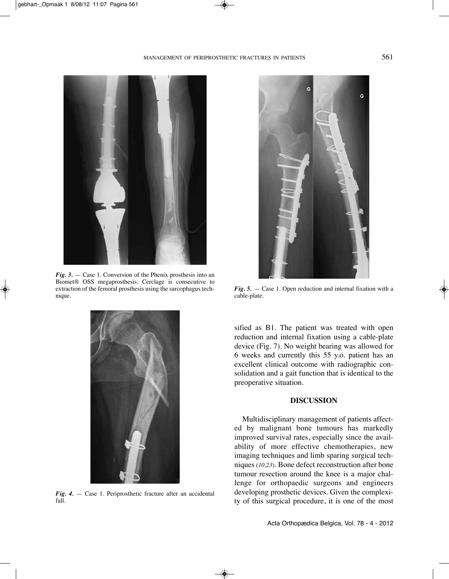

*Fig. 3.* — Case 1. Conversion of the Phenix prosthesis into an Biomet® OSS megaprosthesis. Cerclage is consecutive to extraction of the femoral prosthesis using the sarcophagus technique.



*Fig. 4.* — Case 1. Periprosthetic fracture after an accidental fall.



*Fig. 5.* — Case 1. Open reduction and internal fixation with a cable-plate.

sified as B1. The patient was treated with open reduction and internal fixation using a cable-plate device (Fig. 7). No weight bearing was allowed for 6 weeks and currently this 55 y.o. patient has an excellent clinical outcome with radiographic consolidation and a gait function that is identical to the preoperative situation.

#### **DISCUSSION**

Multidisciplinary management of patients affected by malignant bone tumours has markedly improved survival rates, especially since the availability of more effective chemotherapies, new imaging techniques and limb sparing surgical techniques (*10,23*). Bone defect reconstruction after bone tumour resection around the knee is a major challenge for orthopaedic surgeons and engineers developing prosthetic devices. Given the complexity of this surgical procedure, it is one of the most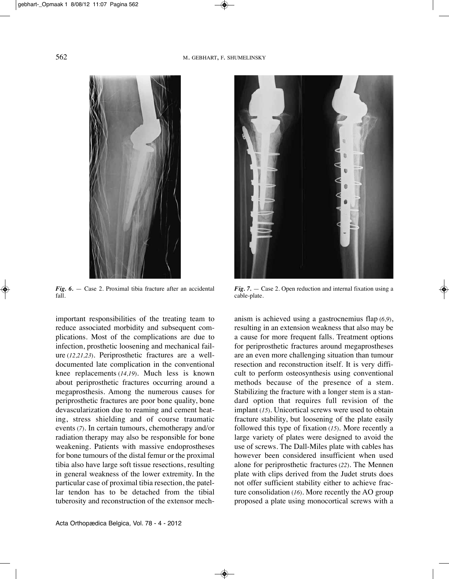

*Fig. 6.* — Case 2. Proximal tibia fracture after an accidental fall.

important responsibilities of the treating team to reduce associated morbidity and subsequent complications. Most of the complications are due to infection, prosthetic loosening and mechanical failure (*12,21,23*). Periprosthetic fractures are a welldocumented late complication in the conventional knee replacements (*14,19*). Much less is known about periprosthetic fractures occurring around a megaprosthesis. Among the numerous causes for periprosthetic fractures are poor bone quality, bone devascularization due to reaming and cement heating, stress shielding and of course traumatic events (*7*). In certain tumours, chemotherapy and/or radiation therapy may also be responsible for bone weakening. Patients with massive endoprostheses for bone tumours of the distal femur or the proximal tibia also have large soft tissue resections, resulting in general weakness of the lower extremity. In the particular case of proximal tibia resection, the patellar tendon has to be detached from the tibial tuberosity and reconstruction of the extensor mech-



*Fig. 7.* — Case 2. Open reduction and internal fixation using a cable-plate.

anism is achieved using a gastrocnemius flap (*6,9*), resulting in an extension weakness that also may be a cause for more frequent falls. Treatment options for periprosthetic fractures around megaprostheses are an even more challenging situation than tumour resection and reconstruction itself. It is very difficult to perform osteosynthesis using conventional methods because of the presence of a stem. Stabilizing the fracture with a longer stem is a standard option that requires full revision of the implant (15). Unicortical screws were used to obtain fracture stability, but loosening of the plate easily followed this type of fixation (*15*). More recently a large variety of plates were designed to avoid the use of screws. The Dall-Miles plate with cables has however been considered insufficient when used alone for periprosthetic fractures (22). The Mennen plate with clips derived from the Judet struts does not offer sufficient stability either to achieve fracture consolidation (*16*). More recently the AO group proposed a plate using monocortical screws with a